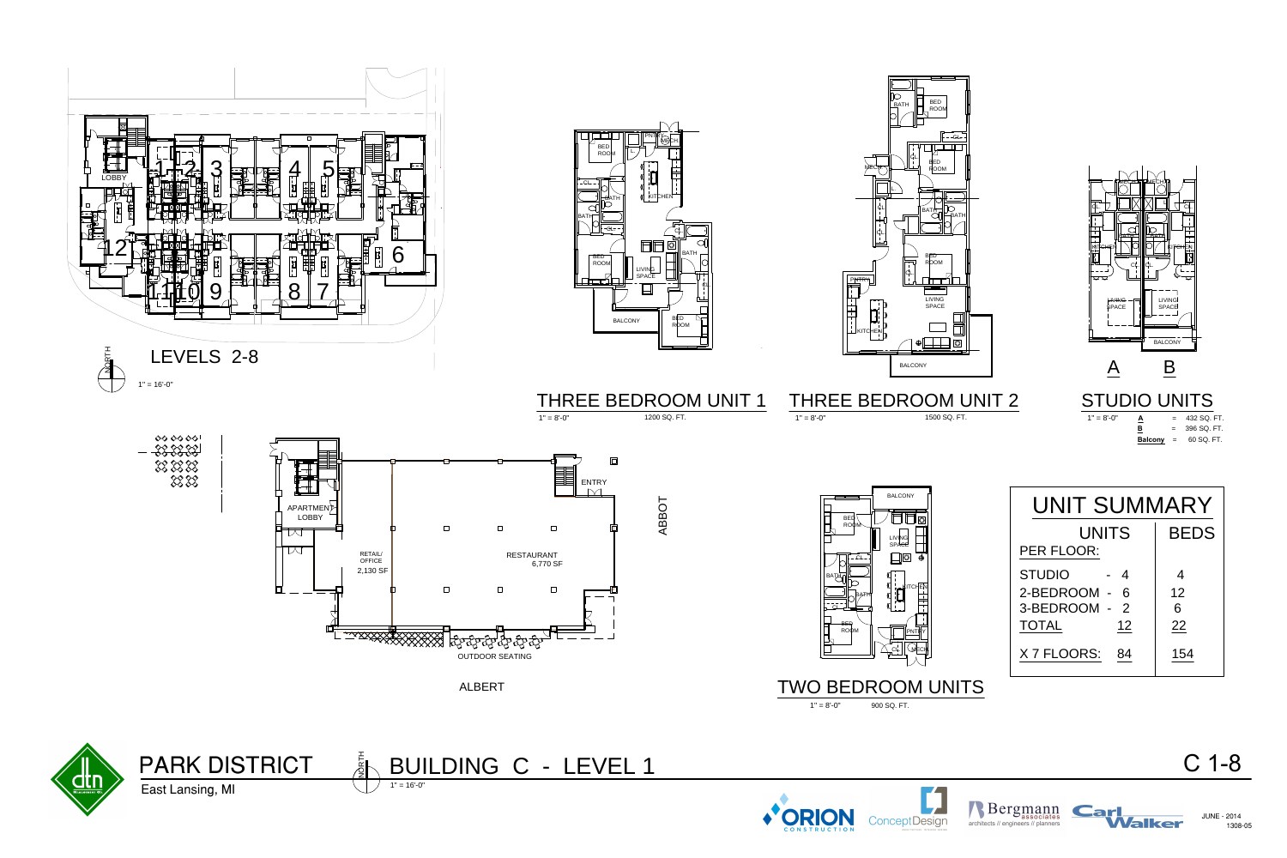



 $1" = 8'-0"$ 

 $1" = 8'-0"$ 

# BUILDING C - LEVEL 1



## TWO BEDROOM UNITS

THREE BEDROOM UNIT 1

 $\Box$ 



APARTMENT LOBBY

 $\overline{\mathcal{M}}$ 

TM

 $\Box$ 

OFFICE **F** 2,130 SF

RETAIL/ FOR THE RESERVE THE RESERVE THAT IS A RESERVE THAT IS A REPORT OF THE RESERVE THAT A REPORT OF THE RESERVE THAT A REPORT OF THE RESERVE THAT A REPORT OF THE REPORT OF THE REPORT OF THE REPORT OF THE REPORT OF THE R



### STUDIO UNITS  $1" = 8'-0"$



### **432 SQ. FT.** 396 SQ. FT. **Balcony** = 60 SQ. FT.

# 2-BEDROOM - 6 | 12 UNITS BEDS 3-BEDROOM - 2 | 6 PER FLOOR: TOTAL 12 22 X 7 FLOORS: 84 154  $STUDIO$  - 4 4  $\frac{1}{1000}$ <br>  $\frac{1}{1000}$ <br>  $\frac{1}{1000}$ <br>  $\frac{1}{1000}$ <br>  $\frac{1}{1000}$ <br>  $\frac{1}{1000}$ <br>  $\frac{1}{1000}$ <br>  $\frac{1}{1000}$ <br>  $\frac{1}{1000}$ <br>  $\frac{1}{100}$ <br>  $\frac{1}{100}$ <br>  $\frac{1}{100}$ <br>  $\frac{1}{100}$ <br>  $\frac{1}{100}$ <br>  $\frac{1}{100}$ <br>  $\frac{1}{100}$ <br>  $\frac{$





LEASING OFFICE



 $1" = 8'-0"$ 



1200 SQ. FT.

900 SQ. FT.





UNIT SUMMARY

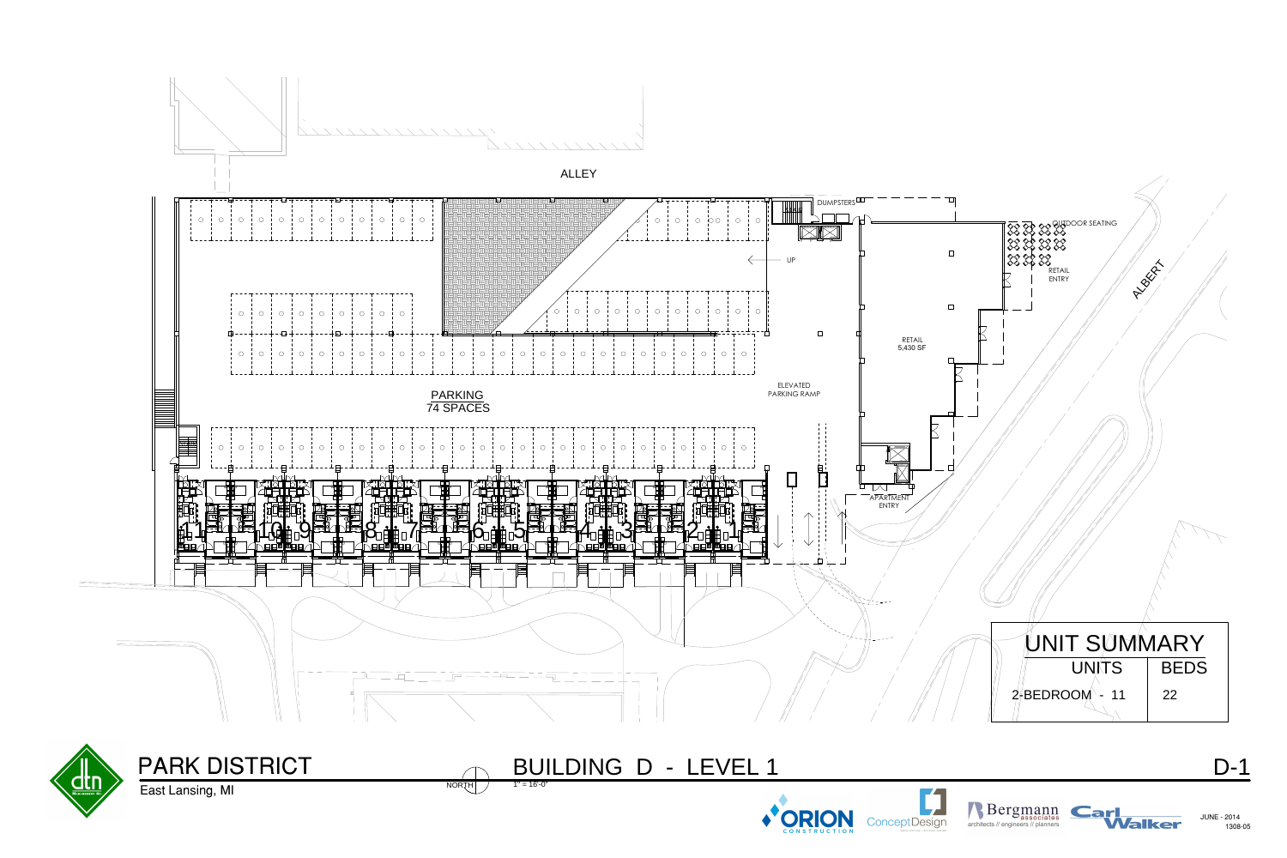PARK DISTRICT

East Lansing, MI

D-1

### $NORTH$   $1" = 16'-0"$ BUILDING D - LEVEL 1











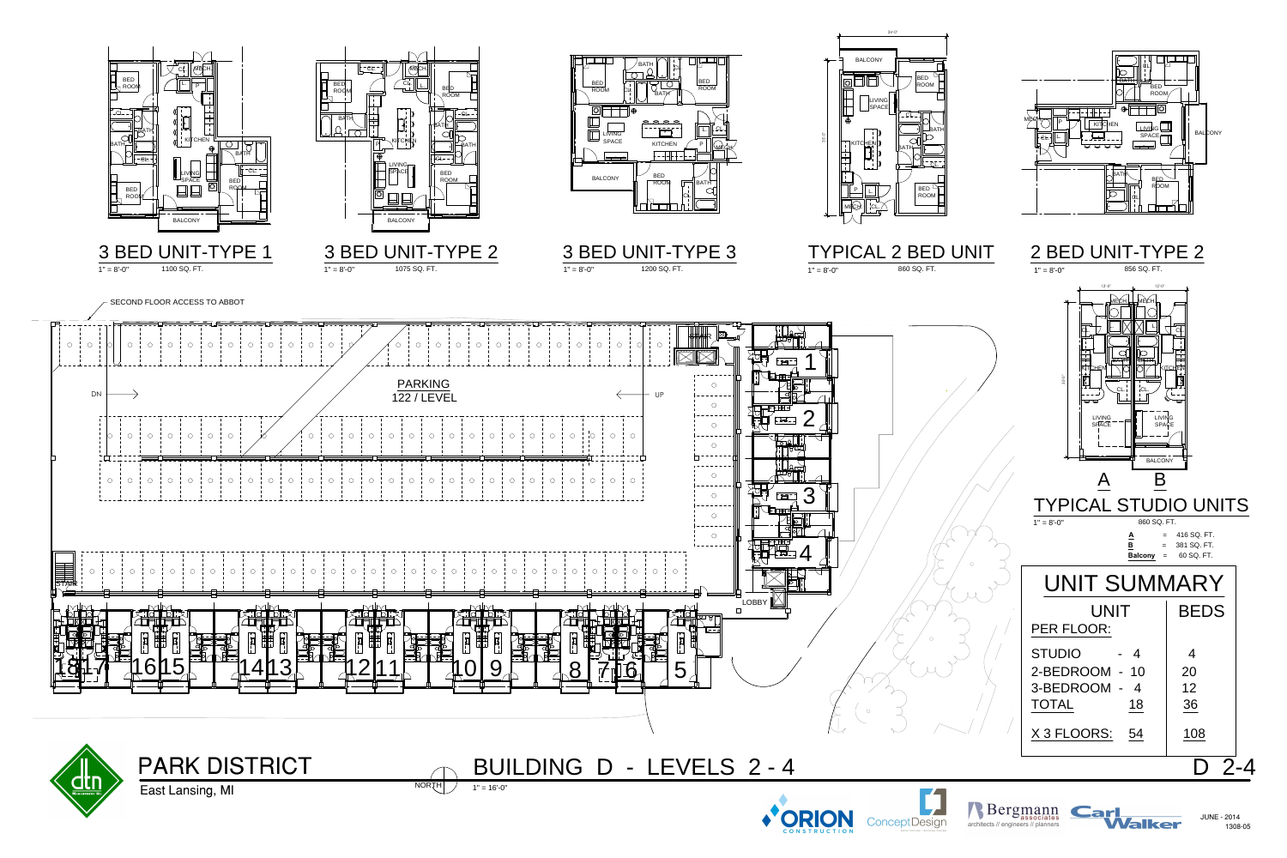*Nalker* 

East Lansing, MI





















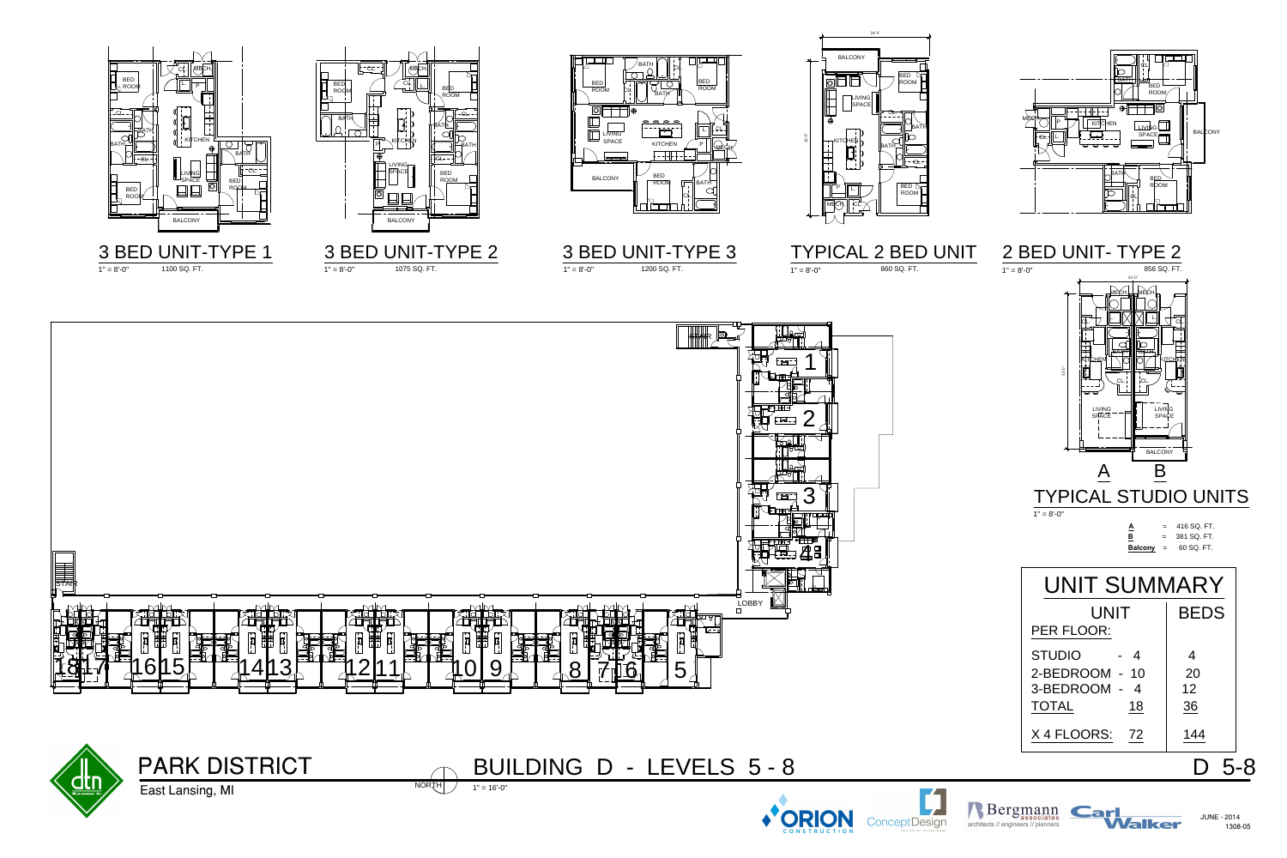JUNE - 2014



East Lansing, MI

1308-05



## BUILDING D - LEVELS 5 - 8









24'-0"



Rergmann<br>architects // engineers // planners